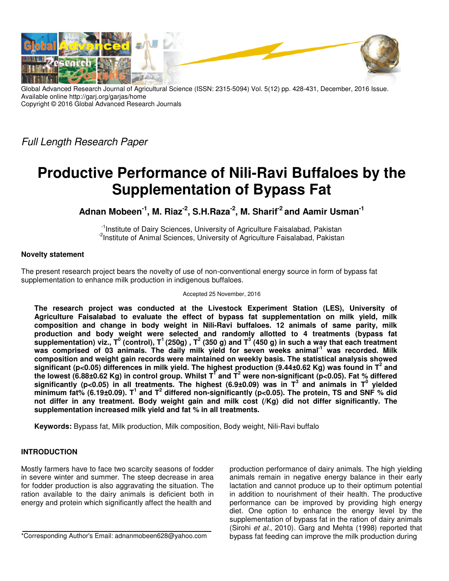

Global Advanced Research Journal of Agricultural Science (ISSN: 2315-5094) Vol. 5(12) pp. 428-431, December, 2016 Issue. Available online http://garj.org/garjas/home Copyright © 2016 Global Advanced Research Journals

Full Length Research Paper

# **Productive Performance of Nili-Ravi Buffaloes by the Supplementation of Bypass Fat**

**Adnan Mobeen-1, M. Riaz-2, S.H.Raza-2, M. Sharif-2 and Aamir Usman-1** 

<sup>-1</sup>Institute of Dairy Sciences, University of Agriculture Faisalabad, Pakistan <sup>-2</sup>Institute of Animal Sciences, University of Agriculture Faisalabad, Pakistan

## **Novelty statement**

The present research project bears the novelty of use of non-conventional energy source in form of bypass fat supplementation to enhance milk production in indigenous buffaloes.

#### Accepted 25 November, 2016

**The research project was conducted at the Livestock Experiment Station (LES), University of Agriculture Faisalabad to evaluate the effect of bypass fat supplementation on milk yield, milk composition and change in body weight in Nili-Ravi buffaloes. 12 animals of same parity, milk production and body weight were selected and randomly allotted to 4 treatments (bypass fat supplementation) viz., T<sup>0</sup> (control), T<sup>1</sup>(250g) , T<sup>2</sup> (350 g) and T<sup>3</sup> (450 g) in such a way that each treatment was comprised of 03 animals. The daily milk yield for seven weeks animal-1 was recorded. Milk composition and weight gain records were maintained on weekly basis. The statistical analysis showed significant (p<0.05) differences in milk yield. The highest production (9.44±0.62 Kg) was found in T<sup>2</sup> and the lowest (6.88±0.62 Kg) in control group. Whilst T 1 and T<sup>2</sup> were non-significant (p<0.05). Fat % differed significantly (p<0.05) in all treatments. The highest (6.9±0.09) was in T<sup>3</sup> and animals in T<sup>0</sup> yielded**  minimum fat% (6.19±0.09). T<sup>1</sup> and T<sup>2</sup> differed non-significantly (p<0.05). The protein, TS and SNF % did **not differ in any treatment. Body weight gain and milk cost (/Kg) did not differ significantly. The supplementation increased milk yield and fat % in all treatments.** 

**Keywords:** Bypass fat, Milk production, Milk composition, Body weight, Nili-Ravi buffalo

## **INTRODUCTION**

Mostly farmers have to face two scarcity seasons of fodder in severe winter and summer. The steep decrease in area for fodder production is also aggravating the situation. The ration available to the dairy animals is deficient both in energy and protein which significantly affect the health and

\*Corresponding Author's Email: adnanmobeen628@yahoo.com

production performance of dairy animals. The high yielding animals remain in negative energy balance in their early lactation and cannot produce up to their optimum potential in addition to nourishment of their health. The productive performance can be improved by providing high energy diet. One option to enhance the energy level by the supplementation of bypass fat in the ration of dairy animals (Sirohi et al., 2010). Garg and Mehta (1998) reported that bypass fat feeding can improve the milk production during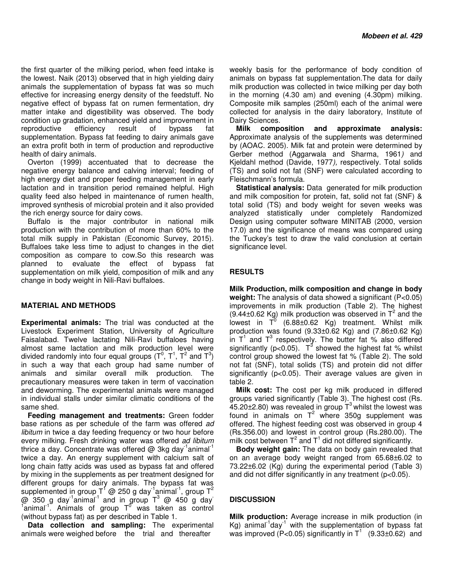the first quarter of the milking period, when feed intake is the lowest. Naik (2013) observed that in high yielding dairy animals the supplementation of bypass fat was so much effective for increasing energy density of the feedstuff. No negative effect of bypass fat on rumen fermentation, dry matter intake and digestibility was observed. The body condition up gradation, enhanced yield and improvement in reproductive efficiency result of bypass fat supplementation. Bypass fat feeding to dairy animals gave an extra profit both in term of production and reproductive health of dairy animals.

Overton (1999) accentuated that to decrease the negative energy balance and calving interval; feeding of high energy diet and proper feeding management in early lactation and in transition period remained helpful. High quality feed also helped in maintenance of rumen health, improved synthesis of microbial protein and it also provided the rich energy source for dairy cows.

Buffalo is the major contributor in national milk production with the contribution of more than 60% to the total milk supply in Pakistan (Economic Survey, 2015). Buffaloes take less time to adjust to changes in the diet composition as compare to cow.So this research was planned to evaluate the effect of bypass fat supplementation on milk yield, composition of milk and any change in body weight in Nili-Ravi buffaloes.

## **MATERIAL AND METHODS**

**Experimental animals:** The trial was conducted at the Livestock Experiment Station, University of Agriculture Faisalabad. Twelve lactating Nili-Ravi buffaloes having almost same lactation and milk production level were divided randomly into four equal groups  $(T^0, T^1, T^2$  and  $T^3)$ in such a way that each group had same number of animals and similar overall milk production. The precautionary measures were taken in term of vaccination and deworming. The experimental animals were managed in individual stalls under similar climatic conditions of the same shed.

**Feeding management and treatments:** Green fodder base rations as per schedule of the farm was offered ad libitum in twice a day feeding frequency or two hour before every milking. Fresh drinking water was offered ad libitum thrice a day. Concentrate was offered  $\omega$  3kg day<sup>-1</sup>animal<sup>-1</sup> twice a day. An energy supplement with calcium salt of long chain fatty acids was used as bypass fat and offered by mixing in the supplements as per treatment designed for different groups for dairy animals. The bypass fat was supplemented in group  $T^1$  @ 250 g day<sup>-1</sup>animal<sup>-1</sup>, group  $T^2$  $@$  350 g day<sup>-1</sup>animal<sup>-1</sup> and in group T $^3$  @ 450 g day<br><sup>1</sup>animal<sup>-1</sup>. Animals of group T<sup>0</sup> was taken as control (without bypass fat) as per described in Table 1.

**Data collection and sampling:** The experimental animals were weighed before the trial and thereafter

weekly basis for the performance of body condition of animals on bypass fat supplementation.The data for daily milk production was collected in twice milking per day both in the morning (4.30 am) and evening (4.30pm) milking. Composite milk samples (250ml) each of the animal were collected for analysis in the dairy laboratory, Institute of Dairy Sciences.

**Milk composition and approximate analysis:**  Approximate analysis of the supplements was determined by (AOAC. 2005). Milk fat and protein were determined by Gerber method (Aggarwala and Sharma, 1961) and Kjeldahl method (Davide, 1977), respectively. Total solids (TS) and solid not fat (SNF) were calculated according to Fleischmann's formula.

**Statistical analysis:** Data generated for milk production and milk composition for protein, fat, solid not fat (SNF) & total solid (TS) and body weight for seven weeks was analyzed statistically under completely Randomized Design using computer software MINITAB (2000, version 17.0) and the significance of means was compared using the Tuckey's test to draw the valid conclusion at certain significance level.

## **RESULTS**

**Milk Production, milk composition and change in body weight:** The analysis of data showed a significant (P<0.05) improvements in milk production (Table 2). The highest  $(9.44\pm0.62$  Kg) milk production was observed in  $T^2$  and the lowest in  $T^0$  (6.88±0.62 Kg) treatment. Whilst milk production was found  $(9.33\pm0.62 \text{ Kg})$  and  $(7.86\pm0.62 \text{ Kg})$ in  $T^1$  and  $T^3$  respectively. The butter fat % also differed significantly (p<0.05). T<sup>3</sup> showed the highest fat % whilst control group showed the lowest fat % (Table 2). The sold not fat (SNF), total solids (TS) and protein did not differ significantly (p<0.05). Their average values are given in table 2.

**Milk cost:** The cost per kg milk produced in differed groups varied significantly (Table 3). The highest cost (Rs. 45.20 $\pm$ 2.80) was revealed in group  $T^3$  whilst the lowest was found in animals on  $T^2$  where 350g supplement was offered. The highest feeding cost was observed in group 4 (Rs.356.00) and lowest in control group (Rs.280.00). The milk cost between  $T^2$  and  $T^1$  did not differed significantly.

**Body weight gain:** The data on body gain revealed that on an average body weight ranged from 65.68±6.02 to 73.22±6.02 (Kg) during the experimental period (Table 3) and did not differ significantly in any treatment (p<0.05).

## **DISCUSSION**

**Milk production:** Average increase in milk production (in Kg) animal<sup>-1</sup>day<sup>-1</sup> with the supplementation of bypass fat was improved (P<0.05) significantly in  $T^1$  (9.33±0.62) and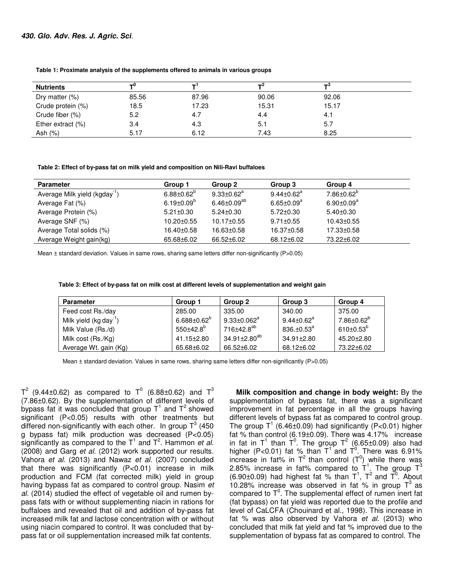| <b>Nutrients</b>     |       |       | тz    | ÷۶    |  |
|----------------------|-------|-------|-------|-------|--|
| Dry matter $(\%)$    | 85.56 | 87.96 | 90.06 | 92.06 |  |
| Crude protein (%)    | 18.5  | 17.23 | 15.31 | 15.17 |  |
| Crude fiber (%)      | 5.2   | 4.7   | 4.4   | 4.1   |  |
| Ether extract $(\%)$ | 3.4   | 4.3   | 5.1   | 5.7   |  |
| Ash (%)              | 5.17  | 6.12  | 7.43  | 8.25  |  |

#### **Table 1: Proximate analysis of the supplements offered to animals in various groups**

**Table 2: Effect of by-pass fat on milk yield and composition on Nili-Ravi buffaloes** 

| <b>Parameter</b>             | Group 1                 | Group 2              | Group 3           | Group 4           |
|------------------------------|-------------------------|----------------------|-------------------|-------------------|
| Average Milk yield (kgday ') | $6.88 \pm 0.62^{\circ}$ | $9.33 \pm 0.62^a$    | $9.44 \pm 0.62^a$ | $7.86 \pm 0.62^b$ |
| Average Fat (%)              | $6.19 \pm 0.09^b$       | $6.46 \pm 0.09^{ab}$ | $6.65 \pm 0.09^a$ | $6.90 \pm 0.09^a$ |
| Average Protein (%)          | $5.21 \pm 0.30$         | $5.24 \pm 0.30$      | $5.72 \pm 0.30$   | $5.40 \pm 0.30$   |
| Average SNF (%)              | $10.20 \pm 0.55$        | 10.17±0.55           | $9.71 \pm 0.55$   | $10.43 \pm 0.55$  |
| Average Total solids (%)     | 16.40±0.58              | 16.63±0.58           | 16.37±0.58        | 17.33±0.58        |
| Average Weight gain(kg)      | 65.68±6.02              | 66.52±6.02           | 68.12±6.02        | 73.22±6.02        |

Mean ± standard deviation. Values in same rows, sharing same letters differ non-significantly (P>0.05)

| Table 3: Effect of by-pass fat on milk cost at different levels of supplementation and weight gain |  |  |
|----------------------------------------------------------------------------------------------------|--|--|
|                                                                                                    |  |  |

| <b>Parameter</b>             | Group 1                  | Group 2                       | Group 3           | Group 4           |
|------------------------------|--------------------------|-------------------------------|-------------------|-------------------|
| Feed cost Rs./day            | 285.00                   | 335.00                        | 340.00            | 375.00            |
| Milk yield $(kq \,day^{-1})$ | $6.688 \pm 0.62^{\circ}$ | $9.33{\pm}0.062^{\mathrm{a}}$ | $9.44 \pm 0.62^a$ | $7.86 \pm 0.62^b$ |
| Milk Value (Rs./d)           | $550+42.8^{b}$           | 716±42.8 <sup>ab</sup>        | $836. \pm 0.53^a$ | $610 \pm 0.53^b$  |
| Milk cost (Rs./Kg)           | $41.15 \pm 2.80$         | $34.91 \pm 2.80^{ab}$         | $34.91 \pm 2.80$  | 45.20+2.80        |
| Average Wt. gain (Kg)        | 65.68±6.02               | 66.52±6.02                    | 68.12±6.02        | 73.22±6.02        |

Mean ± standard deviation. Values in same rows, sharing same letters differ non-significantly (P>0.05)

 $T^2$  (9.44±0.62) as compared to  $T^0$  (6.88±0.62) and  $T^3$ (7.86±0.62). By the supplementation of different levels of bypass fat it was concluded that group  $T^1$  and  $T^2$  showed significant (P<0.05) results with other treatments but differed non-significantly with each other. In group  $T^3$  (450 g bypass fat) milk production was decreased (P<0.05) significantly as compared to the  $T^1$  and  $T^2$ . Hammon et al. (2008) and Garg et al. (2012) work supported our results. Vahora et al. (2013) and Nawaz et al. (2007) concluded that there was significantly (P<0.01) increase in milk production and FCM (fat corrected milk) yield in group having bypass fat as compared to control group. Nasim et al. (2014) studied the effect of vegetable oil and rumen bypass fats with or without supplementing niacin in rations for buffaloes and revealed that oil and addition of by-pass fat increased milk fat and lactose concentration with or without using niacin compared to control. It was concluded that bypass fat or oil supplementation increased milk fat contents.

**Milk composition and change in body weight:** By the supplementation of bypass fat, there was a significant improvement in fat percentage in all the groups having different levels of bypass fat as compared to control group. The group  $T^1$  (6.46±0.09) had significantly (P<0.01) higher fat % than control (6.19±0.09). There was 4.17% increase in fat in T<sup>1</sup> than T<sup>0</sup>. The group T<sup>2</sup> (6.65±0.09) also had higher (P<0.01) fat % than  $T^1$  and  $T^0$ . There was 6.91% increase in fat% in  $T^2$  than control ( $T^0$ ) while there was 2.85% increase in fat% compared to  $T^1$ . The group  $T^3$  $(6.90\pm0.09)$  had highest fat % than T<sup>1</sup>, T<sup>2</sup> and T<sup>0</sup>. About 10.28% increase was observed in fat % in group  $T^3$  as compared to  $T^0$ . The supplemental effect of rumen inert fat (fat bypass) on fat yield was reported due to the profile and level of CaLCFA (Chouinard et al., 1998). This increase in fat % was also observed by Vahora et al. (2013) who concluded that milk fat yield and fat % improved due to the supplementation of bypass fat as compared to control. The